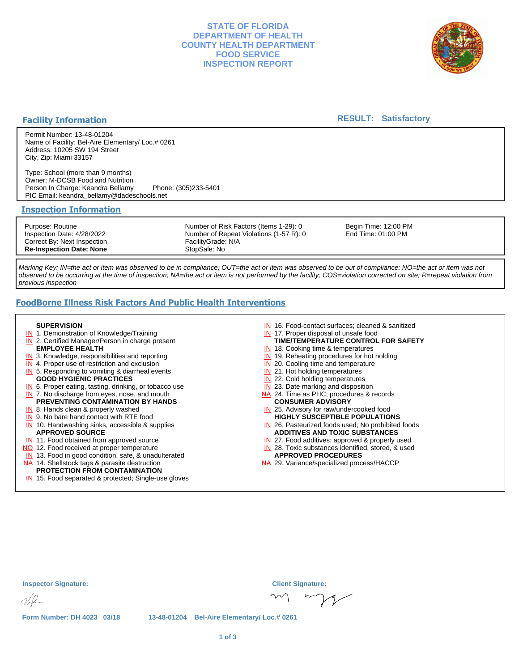## **STATE OF FLORIDA DEPARTMENT OF HEALTH COUNTY HEALTH DEPARTMENT FOOD SERVICE INSPECTION REPORT**



### **Facility Information**

#### **RESULT: Satisfactory**

Permit Number: 13-48-01204 Name of Facility: Bel-Aire Elementary/ Loc.# 0261 Address: 10205 SW 194 Street City, Zip: Miami 33157

Type: School (more than 9 months) Owner: M-DCSB Food and Nutrition Person In Charge: Keandra Bellamy Phone: (305)233-5401 PIC Email: keandra\_bellamy@dadeschools.net

#### **Inspection Information**

Purpose: Routine Inspection Date: 4/28/2022 Correct By: Next Inspection **Re-Inspection Date: None**

Number of Risk Factors (Items 1-29): 0 Number of Repeat Violations (1-57 R): 0 FacilityGrade: N/A StopSale: No

Begin Time: 12:00 PM End Time: 01:00 PM

Marking Key: IN=the act or item was observed to be in compliance; OUT=the act or item was observed to be out of compliance; NO=the act or item was not observed to be occurring at the time of inspection; NA=the act or item is not performed by the facility; COS=violation corrected on site; R=repeat violation from previous inspection

# **FoodBorne Illness Risk Factors And Public Health Interventions**

#### **SUPERVISION**

- **IN** 1. Demonstration of Knowledge/Training
- **IN** 2. Certified Manager/Person in charge present **EMPLOYEE HEALTH**
- **IN** 3. Knowledge, responsibilities and reporting
- **IN** 4. Proper use of restriction and exclusion
- **IN** 5. Responding to vomiting & diarrheal events
- **GOOD HYGIENIC PRACTICES**
- **IN** 6. Proper eating, tasting, drinking, or tobacco use **IN** 7. No discharge from eyes, nose, and mouth
- **PREVENTING CONTAMINATION BY HANDS**
- IN 8. Hands clean & properly washed **IN** 9. No bare hand contact with RTE food
- IN 10. Handwashing sinks, accessible & supplies **APPROVED SOURCE**
- **IN** 11. Food obtained from approved source
- NO 12. Food received at proper temperature
- IN 13. Food in good condition, safe, & unadulterated
- NA 14. Shellstock tags & parasite destruction

## **PROTECTION FROM CONTAMINATION**

IN 15. Food separated & protected; Single-use gloves

- IN 16. Food-contact surfaces; cleaned & sanitized
- IN 17. Proper disposal of unsafe food
- IN 18. Cooking time & temperatures **TIME/TEMPERATURE CONTROL FOR SAFETY**
- 
- **IN** 19. Reheating procedures for hot holding **IN** 20. Cooling time and temperature
- IN 21. Hot holding temperatures
- **IN** 22. Cold holding temperatures
- **IN** 23. Date marking and disposition
- NA 24. Time as PHC; procedures & records **CONSUMER ADVISORY**
- IN 25. Advisory for raw/undercooked food **HIGHLY SUSCEPTIBLE POPULATIONS**
- IN 26. Pasteurized foods used; No prohibited foods **ADDITIVES AND TOXIC SUBSTANCES**
- IN 27. Food additives: approved & properly used
- IN 28. Toxic substances identified, stored, & used **APPROVED PROCEDURES**
- NA 29. Variance/specialized process/HACCP

| <b>Inspector Signature:</b> |  | <b>Client Signature:</b> |                                             |      |
|-----------------------------|--|--------------------------|---------------------------------------------|------|
| $\psi$                      |  |                          |                                             | m.mp |
| Form Number: DH 4023 03/18  |  |                          | 13-48-01204 Bel-Aire Elementary/ Loc.# 0261 |      |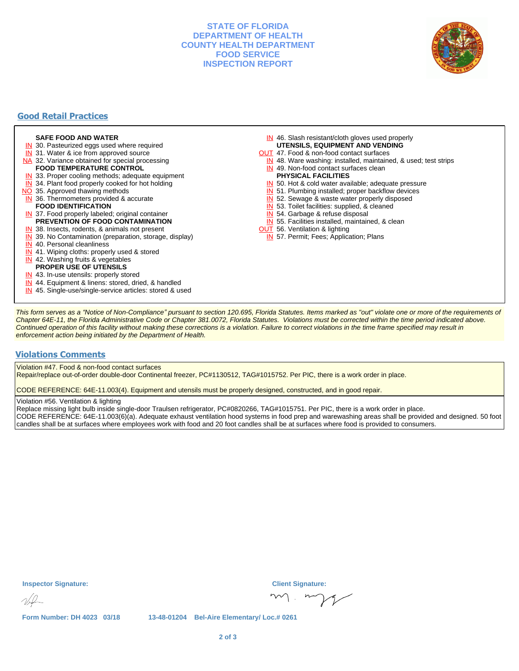## **STATE OF FLORIDA DEPARTMENT OF HEALTH COUNTY HEALTH DEPARTMENT FOOD SERVICE INSPECTION REPORT**



# **Good Retail Practices**

#### **SAFE FOOD AND WATER**

- **IN** 30. Pasteurized eggs used where required
- IN 31. Water & ice from approved source
- NA 32. Variance obtained for special processing
- **FOOD TEMPERATURE CONTROL**
- **IN** 33. Proper cooling methods; adequate equipment
- **IN** 34. Plant food properly cooked for hot holding
- NO 35. Approved thawing methods
- IN 36. Thermometers provided & accurate **FOOD IDENTIFICATION**
- IN 37. Food properly labeled; original container **PREVENTION OF FOOD CONTAMINATION**
- IN 38. Insects, rodents, & animals not present
- **IN** 39. No Contamination (preparation, storage, display)
- IN 40. Personal cleanliness
- IN 41. Wiping cloths: properly used & stored
- IN 42. Washing fruits & vegetables
- **PROPER USE OF UTENSILS**
- IN 43. In-use utensils: properly stored
- IN 44. Equipment & linens: stored, dried, & handled
- IN 45. Single-use/single-service articles: stored & used
- IN 46. Slash resistant/cloth gloves used properly **UTENSILS, EQUIPMENT AND VENDING**
- OUT 47. Food & non-food contact surfaces
- IN 48. Ware washing: installed, maintained, & used; test strips
- IN 49. Non-food contact surfaces clean
- **PHYSICAL FACILITIES**
- IN 50. Hot & cold water available; adequate pressure
- IN 51. Plumbing installed; proper backflow devices
- IN 52. Sewage & waste water properly disposed
- IN 53. Toilet facilities: supplied, & cleaned
- IN 54. Garbage & refuse disposal
- IN 55. Facilities installed, maintained, & clean
- **OUT** 56. Ventilation & lighting
- IN 57. Permit; Fees; Application; Plans

This form serves as a "Notice of Non-Compliance" pursuant to section 120.695, Florida Statutes. Items marked as "out" violate one or more of the requirements of Chapter 64E-11, the Florida Administrative Code or Chapter 381.0072, Florida Statutes. Violations must be corrected within the time period indicated above. Continued operation of this facility without making these corrections is a violation. Failure to correct violations in the time frame specified may result in enforcement action being initiated by the Department of Health.

#### **Violations Comments**

Violation #47. Food & non-food contact surfaces

Repair/replace out-of-order double-door Continental freezer, PC#1130512, TAG#1015752. Per PIC, there is a work order in place.

CODE REFERENCE: 64E-11.003(4). Equipment and utensils must be properly designed, constructed, and in good repair.

#### Violation #56. Ventilation & lighting

Replace missing light bulb inside single-door Traulsen refrigerator, PC#0820266, TAG#1015751. Per PIC, there is a work order in place. CODE REFERENCE: 64E-11.003(6)(a). Adequate exhaust ventilation hood systems in food prep and warewashing areas shall be provided and designed. 50 foot candles shall be at surfaces where employees work with food and 20 foot candles shall be at surfaces where food is provided to consumers.

**Inspector Signature: Client Signature:**

**Form Number: DH 4023 03/18 13-48-01204 Bel-Aire Elementary/ Loc.# 0261**